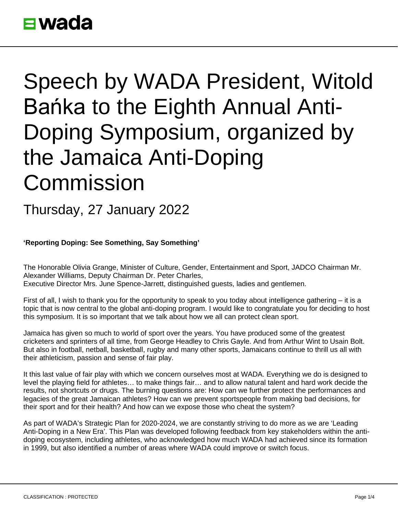## **E** wada

## Speech by WADA President, Witold Bańka to the Eighth Annual Anti-Doping Symposium, organized by the Jamaica Anti-Doping Commission

Thursday, 27 January 2022

**'Reporting Doping: See Something, Say Something'**

The Honorable Olivia Grange, Minister of Culture, Gender, Entertainment and Sport, JADCO Chairman Mr. Alexander Williams, Deputy Chairman Dr. Peter Charles, Executive Director Mrs. June Spence-Jarrett, distinguished guests, ladies and gentlemen.

First of all, I wish to thank you for the opportunity to speak to you today about intelligence gathering – it is a topic that is now central to the global anti-doping program. I would like to congratulate you for deciding to host this symposium. It is so important that we talk about how we all can protect clean sport.

Jamaica has given so much to world of sport over the years. You have produced some of the greatest cricketers and sprinters of all time, from George Headley to Chris Gayle. And from Arthur Wint to Usain Bolt. But also in football, netball, basketball, rugby and many other sports, Jamaicans continue to thrill us all with their athleticism, passion and sense of fair play.

It this last value of fair play with which we concern ourselves most at WADA. Everything we do is designed to level the playing field for athletes… to make things fair… and to allow natural talent and hard work decide the results, not shortcuts or drugs. The burning questions are: How can we further protect the performances and legacies of the great Jamaican athletes? How can we prevent sportspeople from making bad decisions, for their sport and for their health? And how can we expose those who cheat the system?

As part of WADA's Strategic Plan for 2020-2024, we are constantly striving to do more as we are 'Leading Anti-Doping in a New Era'. This Plan was developed following feedback from key stakeholders within the antidoping ecosystem, including athletes, who acknowledged how much WADA had achieved since its formation in 1999, but also identified a number of areas where WADA could improve or switch focus.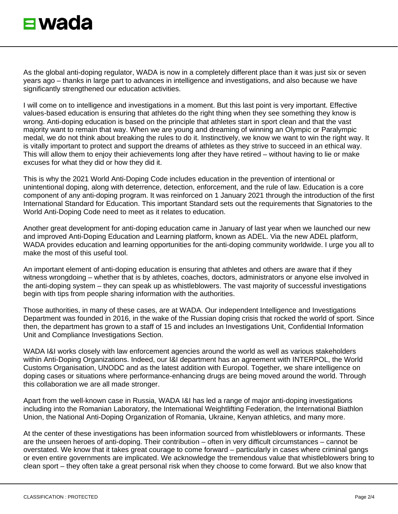

As the global anti-doping regulator, WADA is now in a completely different place than it was just six or seven years ago – thanks in large part to advances in intelligence and investigations, and also because we have significantly strengthened our education activities.

I will come on to intelligence and investigations in a moment. But this last point is very important. Effective values-based education is ensuring that athletes do the right thing when they see something they know is wrong. Anti-doping education is based on the principle that athletes start in sport clean and that the vast majority want to remain that way. When we are young and dreaming of winning an Olympic or Paralympic medal, we do not think about breaking the rules to do it. Instinctively, we know we want to win the right way. It is vitally important to protect and support the dreams of athletes as they strive to succeed in an ethical way. This will allow them to enjoy their achievements long after they have retired – without having to lie or make excuses for what they did or how they did it.

This is why the 2021 World Anti-Doping Code includes education in the prevention of intentional or unintentional doping, along with deterrence, detection, enforcement, and the rule of law. Education is a core component of any anti-doping program. It was reinforced on 1 January 2021 through the introduction of the first International Standard for Education. This important Standard sets out the requirements that Signatories to the World Anti-Doping Code need to meet as it relates to education.

Another great development for anti-doping education came in January of last year when we launched our new and improved Anti-Doping Education and Learning platform, known as ADEL. Via the new ADEL platform, WADA provides education and learning opportunities for the anti-doping community worldwide. I urge you all to make the most of this useful tool.

An important element of anti-doping education is ensuring that athletes and others are aware that if they witness wrongdoing – whether that is by athletes, coaches, doctors, administrators or anyone else involved in the anti-doping system – they can speak up as whistleblowers. The vast majority of successful investigations begin with tips from people sharing information with the authorities.

Those authorities, in many of these cases, are at WADA. Our independent Intelligence and Investigations Department was founded in 2016, in the wake of the Russian doping crisis that rocked the world of sport. Since then, the department has grown to a staff of 15 and includes an Investigations Unit, Confidential Information Unit and Compliance Investigations Section.

WADA I&I works closely with law enforcement agencies around the world as well as various stakeholders within Anti-Doping Organizations. Indeed, our I&I department has an agreement with INTERPOL, the World Customs Organisation, UNODC and as the latest addition with Europol. Together, we share intelligence on doping cases or situations where performance-enhancing drugs are being moved around the world. Through this collaboration we are all made stronger.

Apart from the well-known case in Russia, WADA I&I has led a range of major anti-doping investigations including into the Romanian Laboratory, the International Weightlifting Federation, the International Biathlon Union, the National Anti-Doping Organization of Romania, Ukraine, Kenyan athletics, and many more.

At the center of these investigations has been information sourced from whistleblowers or informants. These are the unseen heroes of anti-doping. Their contribution – often in very difficult circumstances – cannot be overstated. We know that it takes great courage to come forward – particularly in cases where criminal gangs or even entire governments are implicated. We acknowledge the tremendous value that whistleblowers bring to clean sport – they often take a great personal risk when they choose to come forward. But we also know that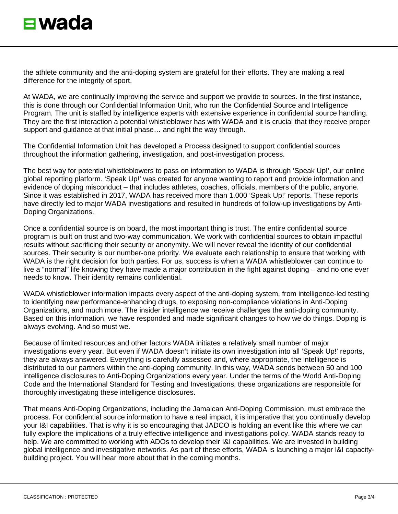the athlete community and the anti-doping system are grateful for their efforts. They are making a real difference for the integrity of sport.

At WADA, we are continually improving the service and support we provide to sources. In the first instance, this is done through our Confidential Information Unit, who run the Confidential Source and Intelligence Program. The unit is staffed by intelligence experts with extensive experience in confidential source handling. They are the first interaction a potential whistleblower has with WADA and it is crucial that they receive proper support and guidance at that initial phase… and right the way through.

The Confidential Information Unit has developed a Process designed to support confidential sources throughout the information gathering, investigation, and post-investigation process.

The best way for potential whistleblowers to pass on information to WADA is through 'Speak Up!', our online global reporting platform. 'Speak Up!' was created for anyone wanting to report and provide information and evidence of doping misconduct – that includes athletes, coaches, officials, members of the public, anyone. Since it was established in 2017, WADA has received more than 1,000 'Speak Up!' reports. These reports have directly led to major WADA investigations and resulted in hundreds of follow-up investigations by Anti-Doping Organizations.

Once a confidential source is on board, the most important thing is trust. The entire confidential source program is built on trust and two-way communication. We work with confidential sources to obtain impactful results without sacrificing their security or anonymity. We will never reveal the identity of our confidential sources. Their security is our number-one priority. We evaluate each relationship to ensure that working with WADA is the right decision for both parties. For us, success is when a WADA whistleblower can continue to live a "normal" life knowing they have made a major contribution in the fight against doping – and no one ever needs to know. Their identity remains confidential.

WADA whistleblower information impacts every aspect of the anti-doping system, from intelligence-led testing to identifying new performance-enhancing drugs, to exposing non-compliance violations in Anti-Doping Organizations, and much more. The insider intelligence we receive challenges the anti-doping community. Based on this information, we have responded and made significant changes to how we do things. Doping is always evolving. And so must we.

Because of limited resources and other factors WADA initiates a relatively small number of major investigations every year. But even if WADA doesn't initiate its own investigation into all 'Speak Up!' reports, they are always answered. Everything is carefully assessed and, where appropriate, the intelligence is distributed to our partners within the anti-doping community. In this way, WADA sends between 50 and 100 intelligence disclosures to Anti-Doping Organizations every year. Under the terms of the World Anti-Doping Code and the International Standard for Testing and Investigations, these organizations are responsible for thoroughly investigating these intelligence disclosures.

That means Anti-Doping Organizations, including the Jamaican Anti-Doping Commission, must embrace the process. For confidential source information to have a real impact, it is imperative that you continually develop your I&I capabilities. That is why it is so encouraging that JADCO is holding an event like this where we can fully explore the implications of a truly effective intelligence and investigations policy. WADA stands ready to help. We are committed to working with ADOs to develop their I&I capabilities. We are invested in building global intelligence and investigative networks. As part of these efforts, WADA is launching a major I&I capacitybuilding project. You will hear more about that in the coming months.